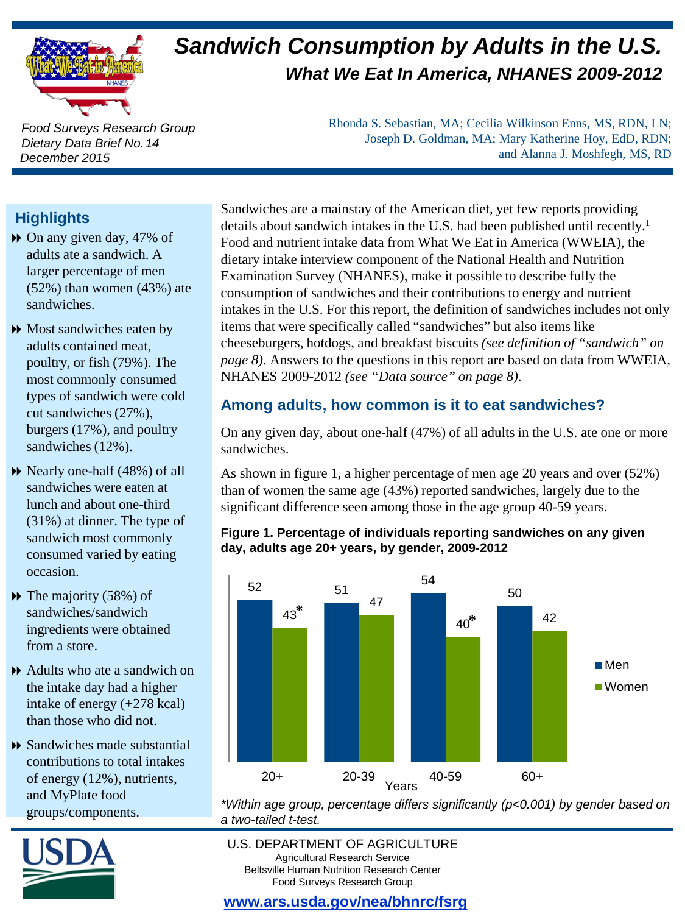

# *Sandwich Consumption by Adults in the U.S. What We Eat In America, NHANES 2009-2012*

*Food Surveys Research Group Dietary Data Brief No. 14 December 2015*

Rhonda S. Sebastian, MA; Cecilia Wilkinson Enns, MS, RDN, LN; Joseph D. Goldman, MA; Mary Katherine Hoy, EdD, RDN; and Alanna J. Moshfegh, MS, RD

## **Highlights**

- On any given day, 47% of adults ate a sandwich. A larger percentage of men (52%) than women (43%) ate sandwiches.
- **Most sandwiches eaten by** adults contained meat, poultry, or fish (79%). The most commonly consumed types of sandwich were cold cut sandwiches (27%), burgers (17%), and poultry sandwiches (12%).
- Nearly one-half (48%) of all sandwiches were eaten at lunch and about one-third (31%) at dinner. The type of sandwich most commonly consumed varied by eating occasion.
- The majority (58%) of sandwiches/sandwich ingredients were obtained from a store.
- Adults who ate a sandwich on the intake day had a higher intake of energy (+278 kcal) than those who did not.
- Sandwiches made substantial contributions to total intakes of energy (12%), nutrients, and MyPlate food groups/components.



Sandwiches are a mainstay of the American diet, yet few reports providing details about sandwich intakes in the U.S. had been published until recently.<sup>1</sup> Food and nutrient intake data from What We Eat in America (WWEIA), the dietary intake interview component of the National Health and Nutrition Examination Survey (NHANES), make it possible to describe fully the consumption of sandwiches and their contributions to energy and nutrient intakes in the U.S. For this report, the definition of sandwiches includes not only items that were specifically called "sandwiches" but also items like cheeseburgers, hotdogs, and breakfast biscuits *(see definition of "sandwich" on page 8)*. Answers to the questions in this report are based on data from WWEIA, NHANES 2009-2012 *(see "Data source" on page 8)*.

## **Among adults, how common is it to eat sandwiches?**

On any given day, about one-half (47%) of all adults in the U.S. ate one or more sandwiches.

As shown in figure 1, a higher percentage of men age 20 years and over (52%) than of women the same age (43%) reported sandwiches, largely due to the significant difference seen among those in the age group 40-59 years.

#### **Figure 1. Percentage of individuals reporting sandwiches on any given day, adults age 20+ years, by gender, 2009-2012**



*\*Within age group, percentage differs significantly (p<0.001) by gender based on a two-tailed t-test.*

#### U.S. DEPARTMENT OF AGRICULTURE Agricultural Research Service Beltsville Human Nutrition Research Center Food Surveys Research Group

## **[www.ars.usda.gov/nea/bhnrc/fsrg](http://www.ars.usda.gov/ba/bhnrc/fsrg)**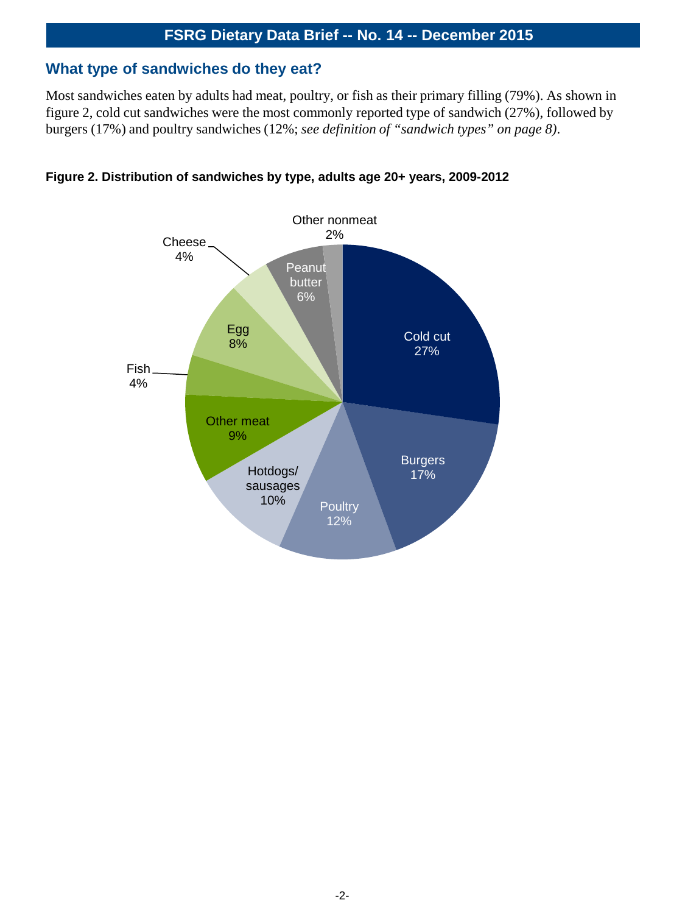#### **What type of sandwiches do they eat?**

Most sandwiches eaten by adults had meat, poultry, or fish as their primary filling (79%). As shown in figure 2, cold cut sandwiches were the most commonly reported type of sandwich (27%), followed by burgers (17%) and poultry sandwiches (12%; *see definition of "sandwich types" on page 8)*.



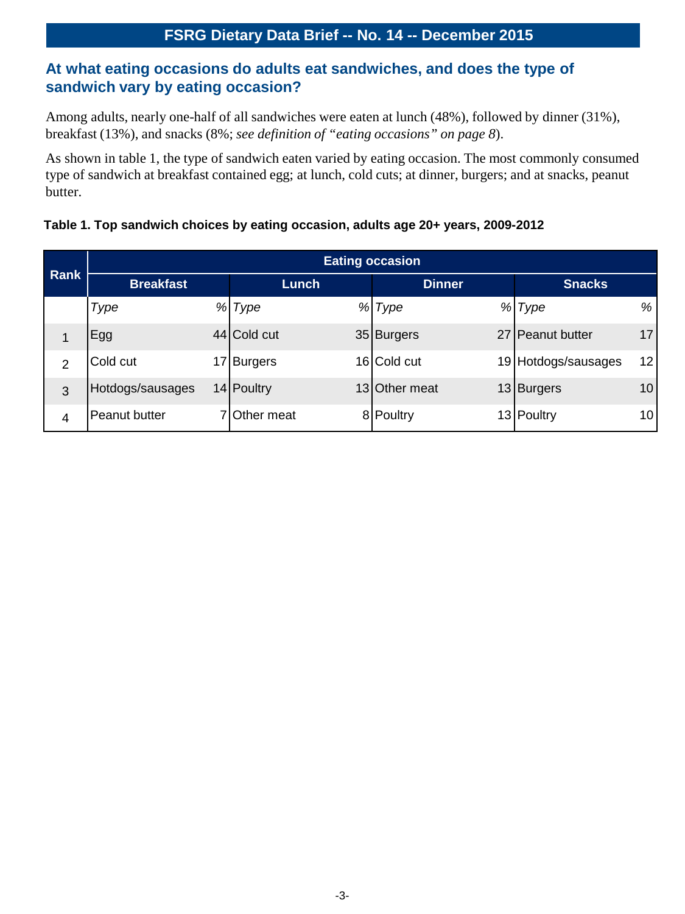## **At what eating occasions do adults eat sandwiches, and does the type of sandwich vary by eating occasion?**

Among adults, nearly one-half of all sandwiches were eaten at lunch (48%), followed by dinner (31%), breakfast (13%), and snacks (8%; *see definition of "eating occasions" on page 8*).

As shown in table 1, the type of sandwich eaten varied by eating occasion. The most commonly consumed type of sandwich at breakfast contained egg; at lunch, cold cuts; at dinner, burgers; and at snacks, peanut butter.

#### **Table 1. Top sandwich choices by eating occasion, adults age 20+ years, 2009-2012**

| <b>Rank</b>    | <b>Eating occasion</b> |  |              |   |               |  |                     |    |
|----------------|------------------------|--|--------------|---|---------------|--|---------------------|----|
|                | <b>Breakfast</b>       |  | Lunch        |   | <b>Dinner</b> |  | <b>Snacks</b>       |    |
|                | Type                   |  | % Type       | % | Type          |  | % Type              | %  |
| 1              | Egg                    |  | 44 Cold cut  |   | 35 Burgers    |  | 27 Peanut butter    | 17 |
| $\overline{2}$ | Cold cut               |  | 17 Burgers   |   | 16 Cold cut   |  | 19 Hotdogs/sausages | 12 |
| 3              | Hotdogs/sausages       |  | 14 Poultry   |   | 13 Other meat |  | 13 Burgers          | 10 |
| 4              | Peanut butter          |  | 7 Other meat |   | 8 Poultry     |  | 13 Poultry          | 10 |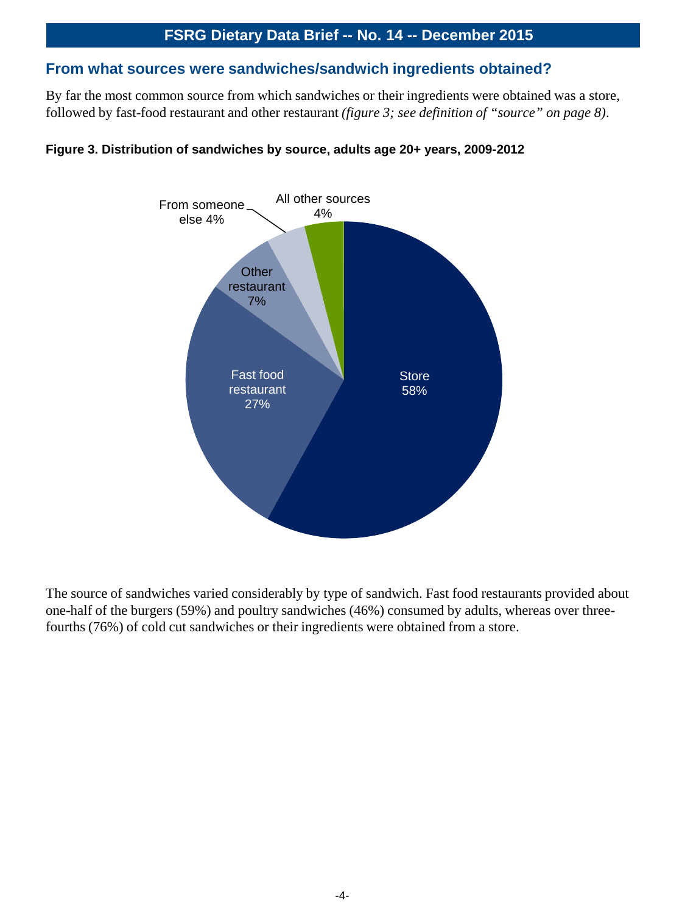#### **From what sources were sandwiches/sandwich ingredients obtained?**

By far the most common source from which sandwiches or their ingredients were obtained was a store, followed by fast-food restaurant and other restaurant *(figure 3; see definition of "source" on page 8)*.



#### **Figure 3. Distribution of sandwiches by source, adults age 20+ years, 2009-2012**

The source of sandwiches varied considerably by type of sandwich. Fast food restaurants provided about one-half of the burgers (59%) and poultry sandwiches (46%) consumed by adults, whereas over threefourths (76%) of cold cut sandwiches or their ingredients were obtained from a store.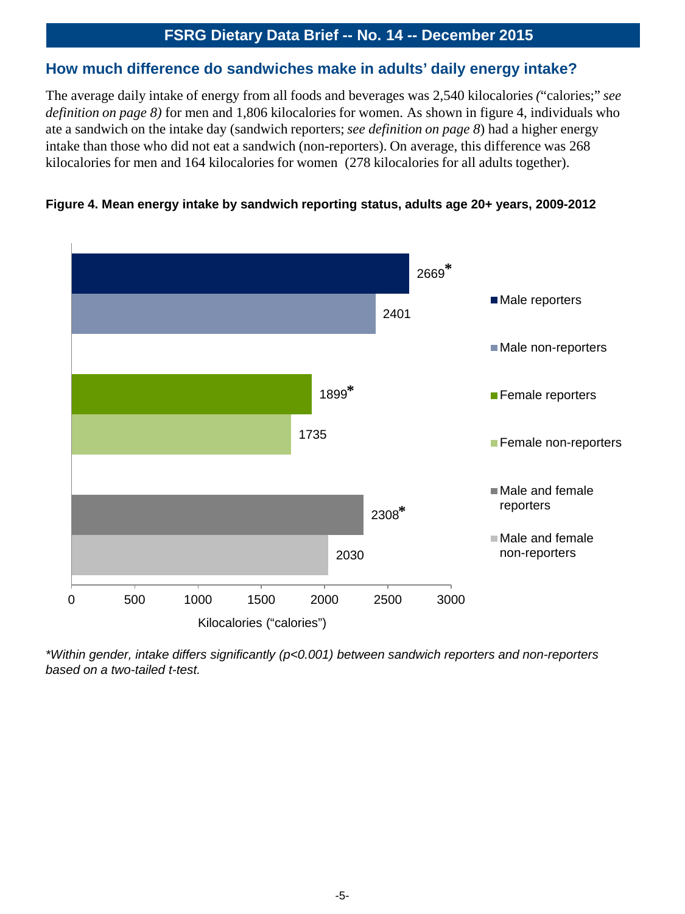#### **How much difference do sandwiches make in adults' daily energy intake?**

The average daily intake of energy from all foods and beverages was 2,540 kilocalories *(*"calories;" *see definition on page 8)* for men and 1,806 kilocalories for women. As shown in figure 4, individuals who ate a sandwich on the intake day (sandwich reporters; *see definition on page 8*) had a higher energy intake than those who did not eat a sandwich (non-reporters). On average, this difference was 268 kilocalories for men and 164 kilocalories for women (278 kilocalories for all adults together).





*\*Within gender, intake differs significantly (p<0.001) between sandwich reporters and non-reporters based on a two-tailed t-test.*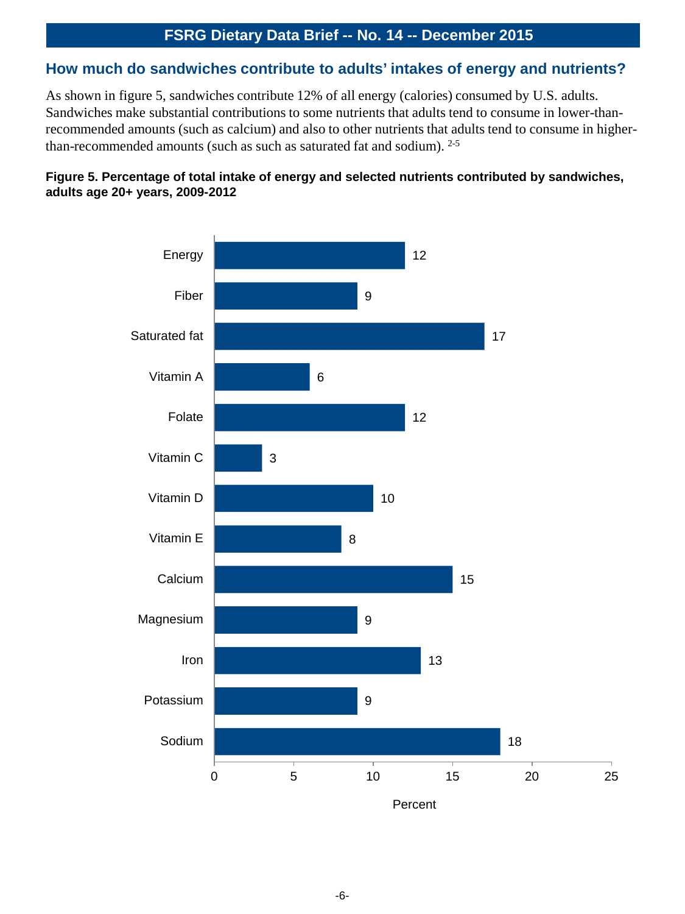#### **How much do sandwiches contribute to adults' intakes of energy and nutrients?**

As shown in figure 5, sandwiches contribute 12% of all energy (calories) consumed by U.S. adults. Sandwiches make substantial contributions to some nutrients that adults tend to consume in lower-thanrecommended amounts (such as calcium) and also to other nutrients that adults tend to consume in higherthan-recommended amounts (such as such as saturated fat and sodium). 2-5

#### **Figure 5. Percentage of total intake of energy and selected nutrients contributed by sandwiches, adults age 20+ years, 2009-2012**

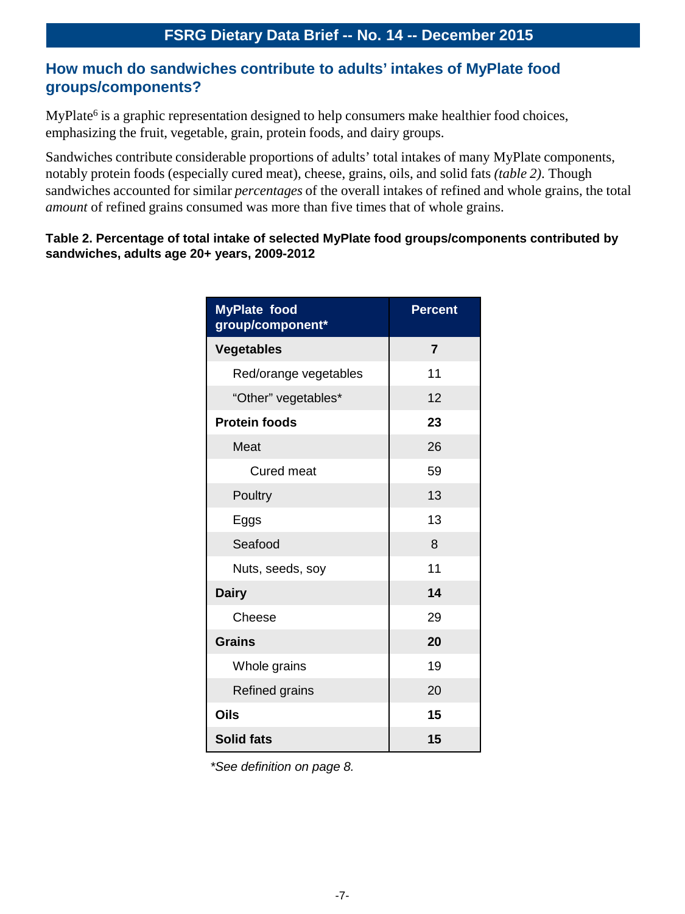## **How much do sandwiches contribute to adults' intakes of MyPlate food groups/components?**

MyPlate<sup>6</sup> is a graphic representation designed to help consumers make healthier food choices, emphasizing the fruit, vegetable, grain, protein foods, and dairy groups.

Sandwiches contribute considerable proportions of adults' total intakes of many MyPlate components, notably protein foods (especially cured meat), cheese, grains, oils, and solid fats *(table 2)*. Though sandwiches accounted for similar *percentages* of the overall intakes of refined and whole grains, the total *amount* of refined grains consumed was more than five times that of whole grains.

#### **Table 2. Percentage of total intake of selected MyPlate food groups/components contributed by sandwiches, adults age 20+ years, 2009-2012**

| <b>MyPlate food</b><br>group/component* | <b>Percent</b> |  |  |  |
|-----------------------------------------|----------------|--|--|--|
| <b>Vegetables</b>                       | $\overline{7}$ |  |  |  |
| Red/orange vegetables                   | 11             |  |  |  |
| "Other" vegetables*                     | 12             |  |  |  |
| <b>Protein foods</b>                    | 23             |  |  |  |
| Meat                                    | 26             |  |  |  |
| Cured meat                              | 59             |  |  |  |
| Poultry                                 | 13             |  |  |  |
| Eggs                                    | 13             |  |  |  |
| Seafood                                 | 8              |  |  |  |
| Nuts, seeds, soy                        | 11             |  |  |  |
| <b>Dairy</b>                            | 14             |  |  |  |
| Cheese                                  | 29             |  |  |  |
| <b>Grains</b>                           | 20             |  |  |  |
| Whole grains                            | 19             |  |  |  |
| Refined grains                          | 20             |  |  |  |
| <b>Oils</b>                             | 15             |  |  |  |
| <b>Solid fats</b>                       | 15             |  |  |  |

*\*See definition on page 8.*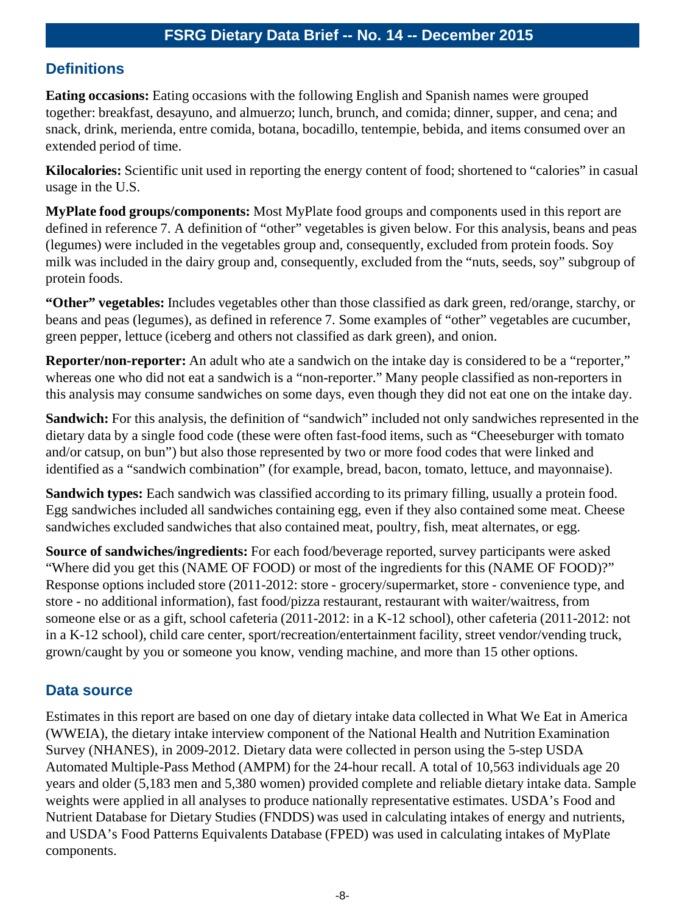## **Definitions**

**Eating occasions:** Eating occasions with the following English and Spanish names were grouped together: breakfast, desayuno, and almuerzo; lunch, brunch, and comida; dinner, supper, and cena; and snack, drink, merienda, entre comida, botana, bocadillo, tentempie, bebida, and items consumed over an extended period of time.

**Kilocalories:** Scientific unit used in reporting the energy content of food; shortened to "calories" in casual usage in the U.S.

**MyPlate food groups/components:** Most MyPlate food groups and components used in this report are defined in reference 7. A definition of "other" vegetables is given below. For this analysis, beans and peas (legumes) were included in the vegetables group and, consequently, excluded from protein foods. Soy milk was included in the dairy group and, consequently, excluded from the "nuts, seeds, soy" subgroup of protein foods.

**"Other" vegetables:** Includes vegetables other than those classified as dark green, red/orange, starchy, or beans and peas (legumes), as defined in reference 7. Some examples of "other" vegetables are cucumber, green pepper, lettuce (iceberg and others not classified as dark green), and onion.

**Reporter/non-reporter:** An adult who ate a sandwich on the intake day is considered to be a "reporter," whereas one who did not eat a sandwich is a "non-reporter." Many people classified as non-reporters in this analysis may consume sandwiches on some days, even though they did not eat one on the intake day.

**Sandwich:** For this analysis, the definition of "sandwich" included not only sandwiches represented in the dietary data by a single food code (these were often fast-food items, such as "Cheeseburger with tomato and/or catsup, on bun") but also those represented by two or more food codes that were linked and identified as a "sandwich combination" (for example, bread, bacon, tomato, lettuce, and mayonnaise).

**Sandwich types:** Each sandwich was classified according to its primary filling, usually a protein food. Egg sandwiches included all sandwiches containing egg, even if they also contained some meat. Cheese sandwiches excluded sandwiches that also contained meat, poultry, fish, meat alternates, or egg.

**Source of sandwiches/ingredients:** For each food/beverage reported, survey participants were asked "Where did you get this (NAME OF FOOD) or most of the ingredients for this (NAME OF FOOD)?" Response options included store (2011-2012: store - grocery/supermarket, store - convenience type, and store - no additional information), fast food/pizza restaurant, restaurant with waiter/waitress, from someone else or as a gift, school cafeteria (2011-2012: in a K-12 school), other cafeteria (2011-2012: not in a K-12 school), child care center, sport/recreation/entertainment facility, street vendor/vending truck, grown/caught by you or someone you know, vending machine, and more than 15 other options.

## **Data source**

Estimates in this report are based on one day of dietary intake data collected in What We Eat in America (WWEIA), the dietary intake interview component of the National Health and Nutrition Examination Survey (NHANES), in 2009-2012. Dietary data were collected in person using the 5-step USDA Automated Multiple-Pass Method (AMPM) for the 24-hour recall. A total of 10,563 individuals age 20 years and older (5,183 men and 5,380 women) provided complete and reliable dietary intake data. Sample weights were applied in all analyses to produce nationally representative estimates. USDA's Food and Nutrient Database for Dietary Studies (FNDDS) was used in calculating intakes of energy and nutrients, and USDA's Food Patterns Equivalents Database (FPED) was used in calculating intakes of MyPlate components.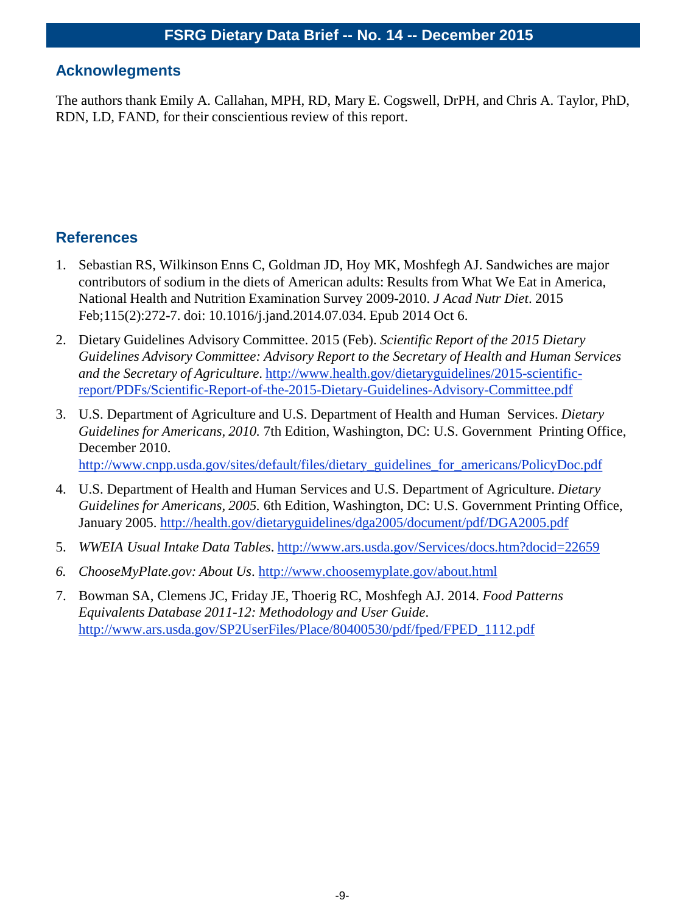#### **Acknowlegments**

The authors thank Emily A. Callahan, MPH, RD, Mary E. Cogswell, DrPH, and Chris A. Taylor, PhD, RDN, LD, FAND, for their conscientious review of this report.

## **References**

- 1. Sebastian RS, Wilkinson Enns C, Goldman JD, Hoy MK, Moshfegh AJ. Sandwiches are major contributors of sodium in the diets of American adults: Results from What We Eat in America, National Health and Nutrition Examination Survey 2009-2010. *J Acad Nutr Diet*. 2015 Feb;115(2):272-7. doi: 10.1016/j.jand.2014.07.034. Epub 2014 Oct 6.
- 2. Dietary Guidelines Advisory Committee. 2015 (Feb). *Scientific Report of the 2015 Dietary Guidelines Advisory Committee: Advisory Report to the Secretary of Health and Human Services and the Secretary of Agriculture*. http://www.health.gov/dietaryguidelines/2015-scientific[report/PDFs/Scientific-Report-of-the-2015-Dietary-Guidelines-Advisory-Committee.pdf](http://www.health.gov/dietaryguidelines/2015-scientific-report/PDFs/Scientific-Report-of-the-2015-Dietary-Guidelines-Advisory-Committee.pdf)
- 3. U.S. Department of Agriculture and U.S. Department of Health and Human Services. *Dietary Guidelines for Americans, 2010.* 7th Edition, Washington, DC: U.S. Government Printing Office, December 2010.

[http://www.cnpp.usda.gov/sites/default/files/dietary\\_guidelines\\_for\\_americans/PolicyDoc.pdf](http://www.cnpp.usda.gov/sites/default/files/dietary_guidelines_for_americans/PolicyDoc.pdf)

- 4. U.S. Department of Health and Human Services and U.S. Department of Agriculture. *Dietary Guidelines for Americans, 2005.* 6th Edition, Washington, DC: U.S. Government Printing Office, January 2005.<http://health.gov/dietaryguidelines/dga2005/document/pdf/DGA2005.pdf>
- 5. *WWEIA Usual Intake Data Tables*.<http://www.ars.usda.gov/Services/docs.htm?docid=22659>
- *6. ChooseMyPlate.gov: About Us*. <http://www.choosemyplate.gov/about.html>
- 7. Bowman SA, Clemens JC, Friday JE, Thoerig RC, Moshfegh AJ. 2014. *Food Patterns Equivalents Database 2011-12: Methodology and User Guide*. [http://www.ars.usda.gov/SP2UserFiles/Place/80400530/pdf/fped/FPED\\_1112.pdf](http://www.ars.usda.gov/SP2UserFiles/Place/80400530/pdf/fped/FPED_1112.pdf)